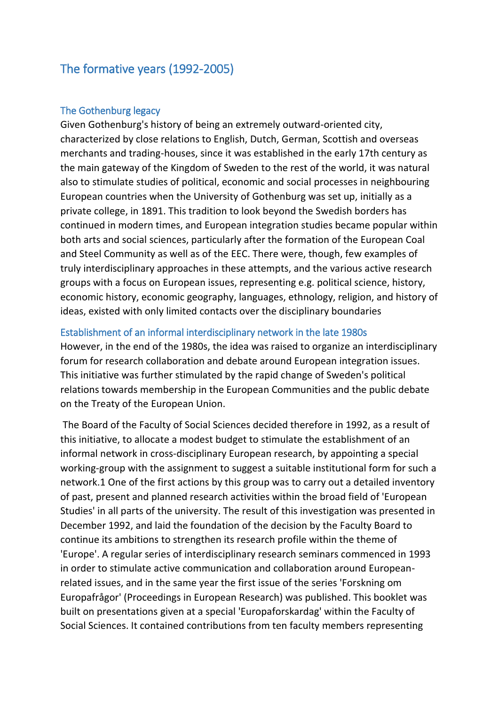# The formative years (1992-2005)

## The Gothenburg legacy

Given Gothenburg's history of being an extremely outward-oriented city, characterized by close relations to English, Dutch, German, Scottish and overseas merchants and trading-houses, since it was established in the early 17th century as the main gateway of the Kingdom of Sweden to the rest of the world, it was natural also to stimulate studies of political, economic and social processes in neighbouring European countries when the University of Gothenburg was set up, initially as a private college, in 1891. This tradition to look beyond the Swedish borders has continued in modern times, and European integration studies became popular within both arts and social sciences, particularly after the formation of the European Coal and Steel Community as well as of the EEC. There were, though, few examples of truly interdisciplinary approaches in these attempts, and the various active research groups with a focus on European issues, representing e.g. political science, history, economic history, economic geography, languages, ethnology, religion, and history of ideas, existed with only limited contacts over the disciplinary boundaries

## Establishment of an informal interdisciplinary network in the late 1980s

However, in the end of the 1980s, the idea was raised to organize an interdisciplinary forum for research collaboration and debate around European integration issues. This initiative was further stimulated by the rapid change of Sweden's political relations towards membership in the European Communities and the public debate on the Treaty of the European Union.

The Board of the Faculty of Social Sciences decided therefore in 1992, as a result of this initiative, to allocate a modest budget to stimulate the establishment of an informal network in cross-disciplinary European research, by appointing a special working-group with the assignment to suggest a suitable institutional form for such a network.1 One of the first actions by this group was to carry out a detailed inventory of past, present and planned research activities within the broad field of 'European Studies' in all parts of the university. The result of this investigation was presented in December 1992, and laid the foundation of the decision by the Faculty Board to continue its ambitions to strengthen its research profile within the theme of 'Europe'. A regular series of interdisciplinary research seminars commenced in 1993 in order to stimulate active communication and collaboration around Europeanrelated issues, and in the same year the first issue of the series 'Forskning om Europafrågor' (Proceedings in European Research) was published. This booklet was built on presentations given at a special 'Europaforskardag' within the Faculty of Social Sciences. It contained contributions from ten faculty members representing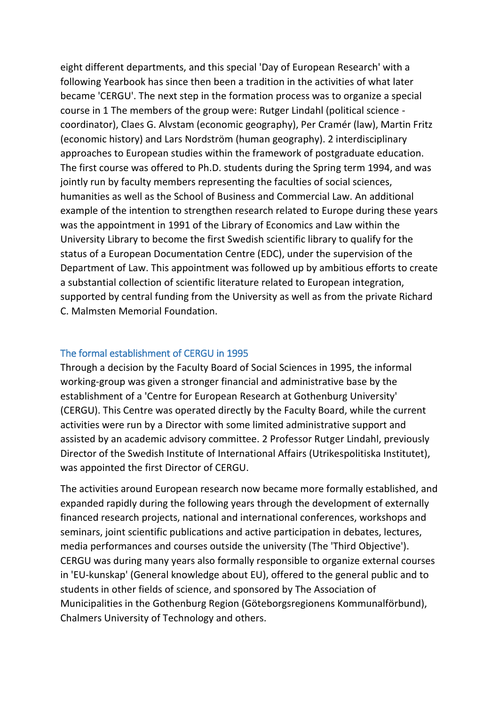eight different departments, and this special 'Day of European Research' with a following Yearbook has since then been a tradition in the activities of what later became 'CERGU'. The next step in the formation process was to organize a special course in 1 The members of the group were: Rutger Lindahl (political science coordinator), Claes G. Alvstam (economic geography), Per Cramér (law), Martin Fritz (economic history) and Lars Nordström (human geography). 2 interdisciplinary approaches to European studies within the framework of postgraduate education. The first course was offered to Ph.D. students during the Spring term 1994, and was jointly run by faculty members representing the faculties of social sciences, humanities as well as the School of Business and Commercial Law. An additional example of the intention to strengthen research related to Europe during these years was the appointment in 1991 of the Library of Economics and Law within the University Library to become the first Swedish scientific library to qualify for the status of a European Documentation Centre (EDC), under the supervision of the Department of Law. This appointment was followed up by ambitious efforts to create a substantial collection of scientific literature related to European integration, supported by central funding from the University as well as from the private Richard C. Malmsten Memorial Foundation.

### The formal establishment of CERGU in 1995

Through a decision by the Faculty Board of Social Sciences in 1995, the informal working-group was given a stronger financial and administrative base by the establishment of a 'Centre for European Research at Gothenburg University' (CERGU). This Centre was operated directly by the Faculty Board, while the current activities were run by a Director with some limited administrative support and assisted by an academic advisory committee. 2 Professor Rutger Lindahl, previously Director of the Swedish Institute of International Affairs (Utrikespolitiska Institutet), was appointed the first Director of CERGU.

The activities around European research now became more formally established, and expanded rapidly during the following years through the development of externally financed research projects, national and international conferences, workshops and seminars, joint scientific publications and active participation in debates, lectures, media performances and courses outside the university (The 'Third Objective'). CERGU was during many years also formally responsible to organize external courses in 'EU-kunskap' (General knowledge about EU), offered to the general public and to students in other fields of science, and sponsored by The Association of Municipalities in the Gothenburg Region (Göteborgsregionens Kommunalförbund), Chalmers University of Technology and others.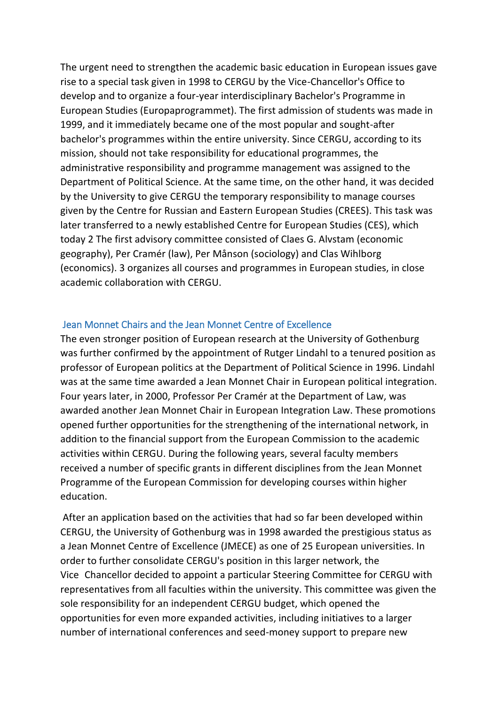The urgent need to strengthen the academic basic education in European issues gave rise to a special task given in 1998 to CERGU by the Vice-Chancellor's Office to develop and to organize a four-year interdisciplinary Bachelor's Programme in European Studies (Europaprogrammet). The first admission of students was made in 1999, and it immediately became one of the most popular and sought-after bachelor's programmes within the entire university. Since CERGU, according to its mission, should not take responsibility for educational programmes, the administrative responsibility and programme management was assigned to the Department of Political Science. At the same time, on the other hand, it was decided by the University to give CERGU the temporary responsibility to manage courses given by the Centre for Russian and Eastern European Studies (CREES). This task was later transferred to a newly established Centre for European Studies (CES), which today 2 The first advisory committee consisted of Claes G. Alvstam (economic geography), Per Cramér (law), Per Månson (sociology) and Clas Wihlborg (economics). 3 organizes all courses and programmes in European studies, in close academic collaboration with CERGU.

### Jean Monnet Chairs and the Jean Monnet Centre of Excellence

The even stronger position of European research at the University of Gothenburg was further confirmed by the appointment of Rutger Lindahl to a tenured position as professor of European politics at the Department of Political Science in 1996. Lindahl was at the same time awarded a Jean Monnet Chair in European political integration. Four years later, in 2000, Professor Per Cramér at the Department of Law, was awarded another Jean Monnet Chair in European Integration Law. These promotions opened further opportunities for the strengthening of the international network, in addition to the financial support from the European Commission to the academic activities within CERGU. During the following years, several faculty members received a number of specific grants in different disciplines from the Jean Monnet Programme of the European Commission for developing courses within higher education.

After an application based on the activities that had so far been developed within CERGU, the University of Gothenburg was in 1998 awarded the prestigious status as a Jean Monnet Centre of Excellence (JMECE) as one of 25 European universities. In order to further consolidate CERGU's position in this larger network, the Vice-Chancellor decided to appoint a particular Steering Committee for CERGU with representatives from all faculties within the university. This committee was given the sole responsibility for an independent CERGU budget, which opened the opportunities for even more expanded activities, including initiatives to a larger number of international conferences and seed-money support to prepare new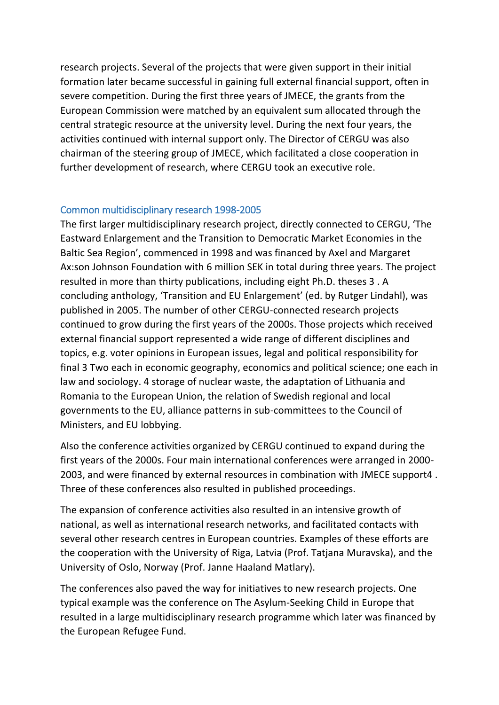research projects. Several of the projects that were given support in their initial formation later became successful in gaining full external financial support, often in severe competition. During the first three years of JMECE, the grants from the European Commission were matched by an equivalent sum allocated through the central strategic resource at the university level. During the next four years, the activities continued with internal support only. The Director of CERGU was also chairman of the steering group of JMECE, which facilitated a close cooperation in further development of research, where CERGU took an executive role.

## Common multidisciplinary research 1998-2005

The first larger multidisciplinary research project, directly connected to CERGU, 'The Eastward Enlargement and the Transition to Democratic Market Economies in the Baltic Sea Region', commenced in 1998 and was financed by Axel and Margaret Ax:son Johnson Foundation with 6 million SEK in total during three years. The project resulted in more than thirty publications, including eight Ph.D. theses 3 . A concluding anthology, 'Transition and EU Enlargement' (ed. by Rutger Lindahl), was published in 2005. The number of other CERGU-connected research projects continued to grow during the first years of the 2000s. Those projects which received external financial support represented a wide range of different disciplines and topics, e.g. voter opinions in European issues, legal and political responsibility for final 3 Two each in economic geography, economics and political science; one each in law and sociology. 4 storage of nuclear waste, the adaptation of Lithuania and Romania to the European Union, the relation of Swedish regional and local governments to the EU, alliance patterns in sub-committees to the Council of Ministers, and EU lobbying.

Also the conference activities organized by CERGU continued to expand during the first years of the 2000s. Four main international conferences were arranged in 2000- 2003, and were financed by external resources in combination with JMECE support4 . Three of these conferences also resulted in published proceedings.

The expansion of conference activities also resulted in an intensive growth of national, as well as international research networks, and facilitated contacts with several other research centres in European countries. Examples of these efforts are the cooperation with the University of Riga, Latvia (Prof. Tatjana Muravska), and the University of Oslo, Norway (Prof. Janne Haaland Matlary).

The conferences also paved the way for initiatives to new research projects. One typical example was the conference on The Asylum-Seeking Child in Europe that resulted in a large multidisciplinary research programme which later was financed by the European Refugee Fund.